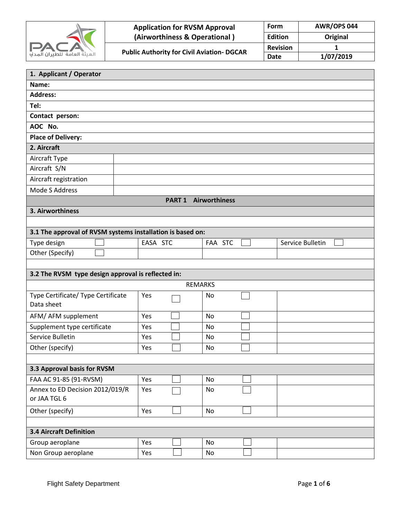

| வி | <b>Application for RVSM Approval</b>              | Form            | <b>AWR/OPS 044</b> |  |  |
|----|---------------------------------------------------|-----------------|--------------------|--|--|
|    | (Airworthiness & Operational)                     | <b>Edition</b>  | Original           |  |  |
|    | <b>Public Authority for Civil Aviation- DGCAR</b> | <b>Revision</b> |                    |  |  |
|    |                                                   | <b>Date</b>     | 1/07/2019          |  |  |

| 1. Applicant / Operator                                    |          |                             |                  |  |  |  |  |  |
|------------------------------------------------------------|----------|-----------------------------|------------------|--|--|--|--|--|
| Name:                                                      |          |                             |                  |  |  |  |  |  |
| <b>Address:</b>                                            |          |                             |                  |  |  |  |  |  |
| Tel:                                                       |          |                             |                  |  |  |  |  |  |
| Contact person:                                            |          |                             |                  |  |  |  |  |  |
| AOC No.                                                    |          |                             |                  |  |  |  |  |  |
| <b>Place of Delivery:</b>                                  |          |                             |                  |  |  |  |  |  |
| 2. Aircraft                                                |          |                             |                  |  |  |  |  |  |
| Aircraft Type                                              |          |                             |                  |  |  |  |  |  |
| Aircraft S/N                                               |          |                             |                  |  |  |  |  |  |
| Aircraft registration                                      |          |                             |                  |  |  |  |  |  |
| Mode S Address                                             |          |                             |                  |  |  |  |  |  |
|                                                            |          | <b>PART 1 Airworthiness</b> |                  |  |  |  |  |  |
| 3. Airworthiness                                           |          |                             |                  |  |  |  |  |  |
|                                                            |          |                             |                  |  |  |  |  |  |
| 3.1 The approval of RVSM systems installation is based on: |          |                             |                  |  |  |  |  |  |
| Type design                                                | EASA STC | FAA STC                     | Service Bulletin |  |  |  |  |  |
| Other (Specify)                                            |          |                             |                  |  |  |  |  |  |
|                                                            |          |                             |                  |  |  |  |  |  |
| 3.2 The RVSM type design approval is reflected in:         |          |                             |                  |  |  |  |  |  |
|                                                            |          | <b>REMARKS</b>              |                  |  |  |  |  |  |
| Type Certificate/ Type Certificate                         | Yes      | No                          |                  |  |  |  |  |  |
| Data sheet                                                 |          |                             |                  |  |  |  |  |  |
| AFM/ AFM supplement                                        | Yes      | <b>No</b>                   |                  |  |  |  |  |  |
| Supplement type certificate                                | Yes      | No                          |                  |  |  |  |  |  |
| Service Bulletin                                           | Yes      | No                          |                  |  |  |  |  |  |
| Other (specify)                                            | Yes      | No                          |                  |  |  |  |  |  |
|                                                            |          |                             |                  |  |  |  |  |  |
| 3.3 Approval basis for RVSM                                |          |                             |                  |  |  |  |  |  |
| FAA AC 91-85 (91-RVSM)                                     | Yes      | No                          |                  |  |  |  |  |  |
| Annex to ED Decision 2012/019/R                            | Yes      | No                          |                  |  |  |  |  |  |
| or JAA TGL 6                                               |          |                             |                  |  |  |  |  |  |
| Other (specify)                                            | Yes      | No                          |                  |  |  |  |  |  |
|                                                            |          |                             |                  |  |  |  |  |  |
| <b>3.4 Aircraft Definition</b>                             |          |                             |                  |  |  |  |  |  |
| Group aeroplane                                            | Yes      | <b>No</b>                   |                  |  |  |  |  |  |
| Non Group aeroplane                                        | Yes      | No                          |                  |  |  |  |  |  |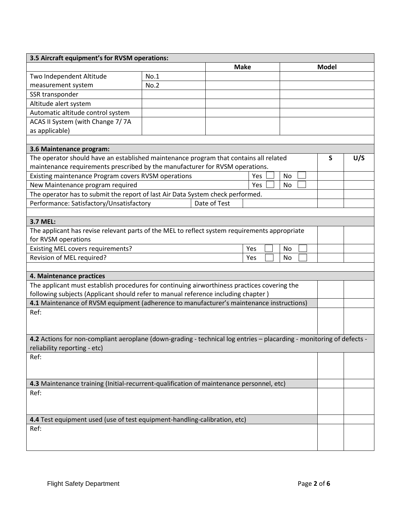| 3.5 Aircraft equipment's for RVSM operations:                                                                        |      |              |             |     |  |    |  |  |              |     |
|----------------------------------------------------------------------------------------------------------------------|------|--------------|-------------|-----|--|----|--|--|--------------|-----|
|                                                                                                                      |      |              | <b>Make</b> |     |  |    |  |  | <b>Model</b> |     |
| Two Independent Altitude                                                                                             | No.1 |              |             |     |  |    |  |  |              |     |
| measurement system                                                                                                   | No.2 |              |             |     |  |    |  |  |              |     |
| SSR transponder                                                                                                      |      |              |             |     |  |    |  |  |              |     |
| Altitude alert system                                                                                                |      |              |             |     |  |    |  |  |              |     |
| Automatic altitude control system                                                                                    |      |              |             |     |  |    |  |  |              |     |
| ACAS II System (with Change 7/7A                                                                                     |      |              |             |     |  |    |  |  |              |     |
| as applicable)                                                                                                       |      |              |             |     |  |    |  |  |              |     |
|                                                                                                                      |      |              |             |     |  |    |  |  |              |     |
| 3.6 Maintenance program:                                                                                             |      |              |             |     |  |    |  |  |              |     |
| The operator should have an established maintenance program that contains all related                                |      |              |             |     |  |    |  |  | S            | U/S |
| maintenance requirements prescribed by the manufacturer for RVSM operations.                                         |      |              |             |     |  |    |  |  |              |     |
| Existing maintenance Program covers RVSM operations                                                                  |      |              |             | Yes |  | No |  |  |              |     |
| New Maintenance program required                                                                                     |      |              |             | Yes |  | No |  |  |              |     |
| The operator has to submit the report of last Air Data System check performed.                                       |      |              |             |     |  |    |  |  |              |     |
| Performance: Satisfactory/Unsatisfactory                                                                             |      | Date of Test |             |     |  |    |  |  |              |     |
|                                                                                                                      |      |              |             |     |  |    |  |  |              |     |
| 3.7 MEL:                                                                                                             |      |              |             |     |  |    |  |  |              |     |
| The applicant has revise relevant parts of the MEL to reflect system requirements appropriate                        |      |              |             |     |  |    |  |  |              |     |
| for RVSM operations                                                                                                  |      |              |             |     |  |    |  |  |              |     |
| Existing MEL covers requirements?<br>Yes<br>No                                                                       |      |              |             |     |  |    |  |  |              |     |
| Revision of MEL required?<br>Yes<br>No                                                                               |      |              |             |     |  |    |  |  |              |     |
|                                                                                                                      |      |              |             |     |  |    |  |  |              |     |
| 4. Maintenance practices                                                                                             |      |              |             |     |  |    |  |  |              |     |
| The applicant must establish procedures for continuing airworthiness practices covering the                          |      |              |             |     |  |    |  |  |              |     |
| following subjects (Applicant should refer to manual reference including chapter)                                    |      |              |             |     |  |    |  |  |              |     |
| 4.1 Maintenance of RVSM equipment (adherence to manufacturer's maintenance instructions)                             |      |              |             |     |  |    |  |  |              |     |
| Ref:                                                                                                                 |      |              |             |     |  |    |  |  |              |     |
|                                                                                                                      |      |              |             |     |  |    |  |  |              |     |
|                                                                                                                      |      |              |             |     |  |    |  |  |              |     |
| 4.2 Actions for non-compliant aeroplane (down-grading - technical log entries - placarding - monitoring of defects - |      |              |             |     |  |    |  |  |              |     |
| reliability reporting - etc)                                                                                         |      |              |             |     |  |    |  |  |              |     |
| Ref:                                                                                                                 |      |              |             |     |  |    |  |  |              |     |
|                                                                                                                      |      |              |             |     |  |    |  |  |              |     |
|                                                                                                                      |      |              |             |     |  |    |  |  |              |     |
| 4.3 Maintenance training (Initial-recurrent-qualification of maintenance personnel, etc)                             |      |              |             |     |  |    |  |  |              |     |
| Ref:                                                                                                                 |      |              |             |     |  |    |  |  |              |     |
|                                                                                                                      |      |              |             |     |  |    |  |  |              |     |
|                                                                                                                      |      |              |             |     |  |    |  |  |              |     |
| 4.4 Test equipment used (use of test equipment-handling-calibration, etc)                                            |      |              |             |     |  |    |  |  |              |     |
| Ref:                                                                                                                 |      |              |             |     |  |    |  |  |              |     |
|                                                                                                                      |      |              |             |     |  |    |  |  |              |     |
|                                                                                                                      |      |              |             |     |  |    |  |  |              |     |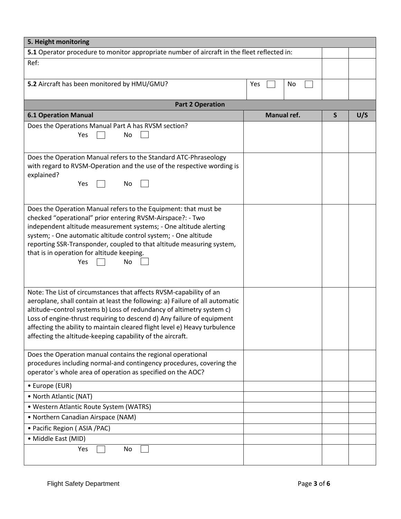| 5. Height monitoring                                                                                                                       |             |   |     |  |  |  |
|--------------------------------------------------------------------------------------------------------------------------------------------|-------------|---|-----|--|--|--|
| 5.1 Operator procedure to monitor appropriate number of aircraft in the fleet reflected in:                                                |             |   |     |  |  |  |
| Ref:                                                                                                                                       |             |   |     |  |  |  |
|                                                                                                                                            |             |   |     |  |  |  |
| 5.2 Aircraft has been monitored by HMU/GMU?                                                                                                | Yes<br>No   |   |     |  |  |  |
|                                                                                                                                            |             |   |     |  |  |  |
| <b>Part 2 Operation</b>                                                                                                                    |             |   |     |  |  |  |
| <b>6.1 Operation Manual</b>                                                                                                                | Manual ref. | S | U/S |  |  |  |
| Does the Operations Manual Part A has RVSM section?                                                                                        |             |   |     |  |  |  |
| Yes<br>No                                                                                                                                  |             |   |     |  |  |  |
|                                                                                                                                            |             |   |     |  |  |  |
| Does the Operation Manual refers to the Standard ATC-Phraseology<br>with regard to RVSM-Operation and the use of the respective wording is |             |   |     |  |  |  |
| explained?                                                                                                                                 |             |   |     |  |  |  |
| Yes<br>No                                                                                                                                  |             |   |     |  |  |  |
|                                                                                                                                            |             |   |     |  |  |  |
| Does the Operation Manual refers to the Equipment: that must be                                                                            |             |   |     |  |  |  |
| checked "operational" prior entering RVSM-Airspace?: - Two                                                                                 |             |   |     |  |  |  |
| independent altitude measurement systems; - One altitude alerting                                                                          |             |   |     |  |  |  |
| system; - One automatic altitude control system; - One altitude                                                                            |             |   |     |  |  |  |
| reporting SSR-Transponder, coupled to that altitude measuring system,                                                                      |             |   |     |  |  |  |
| that is in operation for altitude keeping.                                                                                                 |             |   |     |  |  |  |
| No<br>Yes                                                                                                                                  |             |   |     |  |  |  |
|                                                                                                                                            |             |   |     |  |  |  |
| Note: The List of circumstances that affects RVSM-capability of an                                                                         |             |   |     |  |  |  |
| aeroplane, shall contain at least the following: a) Failure of all automatic                                                               |             |   |     |  |  |  |
| altitude-control systems b) Loss of redundancy of altimetry system c)                                                                      |             |   |     |  |  |  |
| Loss of engine-thrust requiring to descend d) Any failure of equipment                                                                     |             |   |     |  |  |  |
| affecting the ability to maintain cleared flight level e) Heavy turbulence                                                                 |             |   |     |  |  |  |
| affecting the altitude-keeping capability of the aircraft.                                                                                 |             |   |     |  |  |  |
|                                                                                                                                            |             |   |     |  |  |  |
| Does the Operation manual contains the regional operational<br>procedures including normal-and contingency procedures, covering the        |             |   |     |  |  |  |
| operator's whole area of operation as specified on the AOC?                                                                                |             |   |     |  |  |  |
| • Europe (EUR)                                                                                                                             |             |   |     |  |  |  |
| • North Atlantic (NAT)                                                                                                                     |             |   |     |  |  |  |
| • Western Atlantic Route System (WATRS)                                                                                                    |             |   |     |  |  |  |
| • Northern Canadian Airspace (NAM)                                                                                                         |             |   |     |  |  |  |
| • Pacific Region (ASIA /PAC)                                                                                                               |             |   |     |  |  |  |
| • Middle East (MID)                                                                                                                        |             |   |     |  |  |  |
| Yes<br>No                                                                                                                                  |             |   |     |  |  |  |
|                                                                                                                                            |             |   |     |  |  |  |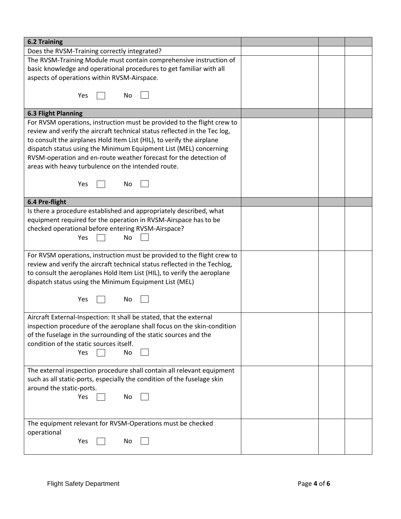| <b>6.2 Training</b>                                                       |  |  |
|---------------------------------------------------------------------------|--|--|
| Does the RVSM-Training correctly integrated?                              |  |  |
| The RVSM-Training Module must contain comprehensive instruction of        |  |  |
| basic knowledge and operational procedures to get familiar with all       |  |  |
| aspects of operations within RVSM-Airspace.                               |  |  |
|                                                                           |  |  |
| Yes<br>No                                                                 |  |  |
|                                                                           |  |  |
| <b>6.3 Flight Planning</b>                                                |  |  |
| For RVSM operations, instruction must be provided to the flight crew to   |  |  |
| review and verify the aircraft technical status reflected in the Tec log, |  |  |
| to consult the airplanes Hold Item List (HIL), to verify the airplane     |  |  |
| dispatch status using the Minimum Equipment List (MEL) concerning         |  |  |
| RVSM-operation and en-route weather forecast for the detection of         |  |  |
| areas with heavy turbulence on the intended route.                        |  |  |
|                                                                           |  |  |
| No<br>Yes                                                                 |  |  |
| 6.4 Pre-flight                                                            |  |  |
| Is there a procedure established and appropriately described, what        |  |  |
| equipment required for the operation in RVSM-Airspace has to be           |  |  |
| checked operational before entering RVSM-Airspace?                        |  |  |
| Yes<br>No                                                                 |  |  |
|                                                                           |  |  |
| For RVSM operations, instruction must be provided to the flight crew to   |  |  |
| review and verify the aircraft technical status reflected in the Techlog, |  |  |
| to consult the aeroplanes Hold Item List (HIL), to verify the aeroplane   |  |  |
| dispatch status using the Minimum Equipment List (MEL)                    |  |  |
|                                                                           |  |  |
| Yes<br>No                                                                 |  |  |
|                                                                           |  |  |
| Aircraft External-Inspection: It shall be stated, that the external       |  |  |
| inspection procedure of the aeroplane shall focus on the skin-condition   |  |  |
| of the fuselage in the surrounding of the static sources and the          |  |  |
| condition of the static sources itself.                                   |  |  |
| Yes<br>No                                                                 |  |  |
|                                                                           |  |  |
| The external inspection procedure shall contain all relevant equipment    |  |  |
| such as all static-ports, especially the condition of the fuselage skin   |  |  |
| around the static-ports.                                                  |  |  |
| Yes<br>No                                                                 |  |  |
|                                                                           |  |  |
| The equipment relevant for RVSM-Operations must be checked                |  |  |
| operational                                                               |  |  |
| Yes<br>No                                                                 |  |  |
|                                                                           |  |  |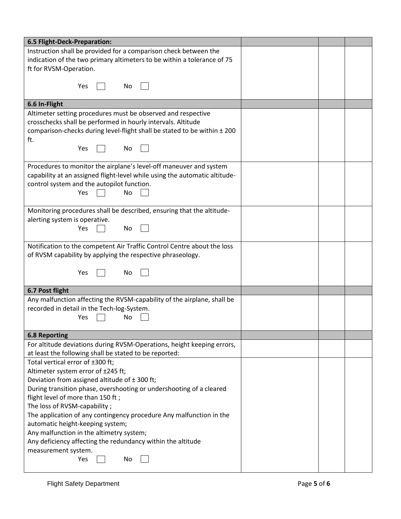| 6.5 Flight-Deck-Preparation:                                                                             |  |  |
|----------------------------------------------------------------------------------------------------------|--|--|
| Instruction shall be provided for a comparison check between the                                         |  |  |
| indication of the two primary altimeters to be within a tolerance of 75                                  |  |  |
| ft for RVSM-Operation.                                                                                   |  |  |
|                                                                                                          |  |  |
| Yes<br><b>No</b>                                                                                         |  |  |
|                                                                                                          |  |  |
| 6.6 In-Flight                                                                                            |  |  |
| Altimeter setting procedures must be observed and respective                                             |  |  |
| crosschecks shall be performed in hourly intervals. Altitude                                             |  |  |
| comparison-checks during level-flight shall be stated to be within ± 200                                 |  |  |
| ft.                                                                                                      |  |  |
| No<br>Yes                                                                                                |  |  |
|                                                                                                          |  |  |
| Procedures to monitor the airplane's level-off maneuver and system                                       |  |  |
| capability at an assigned flight-level while using the automatic altitude-                               |  |  |
| control system and the autopilot function.                                                               |  |  |
| Yes<br>No                                                                                                |  |  |
| Monitoring procedures shall be described, ensuring that the altitude-                                    |  |  |
| alerting system is operative.                                                                            |  |  |
| No<br>Yes                                                                                                |  |  |
|                                                                                                          |  |  |
| Notification to the competent Air Traffic Control Centre about the loss                                  |  |  |
| of RVSM capability by applying the respective phraseology.                                               |  |  |
|                                                                                                          |  |  |
| Yes<br>No                                                                                                |  |  |
|                                                                                                          |  |  |
| 6.7 Post flight                                                                                          |  |  |
| Any malfunction affecting the RVSM-capability of the airplane, shall be                                  |  |  |
| recorded in detail in the Tech-log-System.                                                               |  |  |
| No<br>Yes                                                                                                |  |  |
|                                                                                                          |  |  |
| <b>6.8 Reporting</b>                                                                                     |  |  |
| For altitude deviations during RVSM-Operations, height keeping errors,                                   |  |  |
| at least the following shall be stated to be reported:<br>Total vertical error of ±300 ft;               |  |  |
|                                                                                                          |  |  |
| Altimeter system error of ±245 ft;<br>Deviation from assigned altitude of $\pm$ 300 ft;                  |  |  |
|                                                                                                          |  |  |
| During transition phase, overshooting or undershooting of a cleared<br>flight level of more than 150 ft; |  |  |
| The loss of RVSM-capability;                                                                             |  |  |
| The application of any contingency procedure Any malfunction in the                                      |  |  |
| automatic height-keeping system;                                                                         |  |  |
| Any malfunction in the altimetry system;                                                                 |  |  |
|                                                                                                          |  |  |
| Any deficiency affecting the redundancy within the altitude                                              |  |  |
| measurement system.<br>Yes<br>No                                                                         |  |  |
|                                                                                                          |  |  |
|                                                                                                          |  |  |